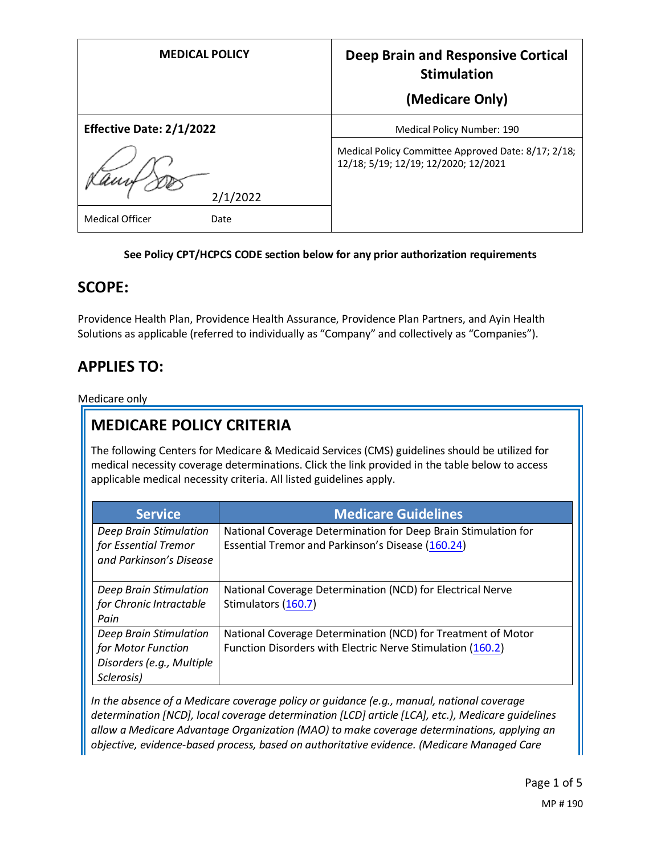| <b>MEDICAL POLICY</b>           | Deep Brain and Responsive Cortical<br><b>Stimulation</b>                                    |
|---------------------------------|---------------------------------------------------------------------------------------------|
|                                 | (Medicare Only)                                                                             |
| <b>Effective Date: 2/1/2022</b> | Medical Policy Number: 190                                                                  |
| 2/1/2022                        | Medical Policy Committee Approved Date: 8/17; 2/18;<br>12/18; 5/19; 12/19; 12/2020; 12/2021 |
| <b>Medical Officer</b><br>Date  |                                                                                             |

### **See Policy CPT/HCPCS CODE section below for any prior authorization requirements**

### **SCOPE:**

Providence Health Plan, Providence Health Assurance, Providence Plan Partners, and Ayin Health Solutions as applicable (referred to individually as "Company" and collectively as "Companies").

# **APPLIES TO:**

Medicare only

# **MEDICARE POLICY CRITERIA**

The following Centers for Medicare & Medicaid Services (CMS) guidelines should be utilized for medical necessity coverage determinations. Click the link provided in the table below to access applicable medical necessity criteria. All listed guidelines apply.

| <b>Service</b>                                                                          | <b>Medicare Guidelines</b>                                                                                                 |
|-----------------------------------------------------------------------------------------|----------------------------------------------------------------------------------------------------------------------------|
| Deep Brain Stimulation<br>for Essential Tremor<br>and Parkinson's Disease               | National Coverage Determination for Deep Brain Stimulation for<br>Essential Tremor and Parkinson's Disease (160.24)        |
| Deep Brain Stimulation<br>for Chronic Intractable<br>Pain                               | National Coverage Determination (NCD) for Electrical Nerve<br>Stimulators (160.7)                                          |
| Deep Brain Stimulation<br>for Motor Function<br>Disorders (e.g., Multiple<br>Sclerosis) | National Coverage Determination (NCD) for Treatment of Motor<br>Function Disorders with Electric Nerve Stimulation (160.2) |

*In the absence of a Medicare coverage policy or guidance (e.g., manual, national coverage determination [NCD], local coverage determination [LCD] article [LCA], etc.), Medicare guidelines allow a Medicare Advantage Organization (MAO) to make coverage determinations, applying an objective, evidence-based process, based on authoritative evidence. (Medicare Managed Care*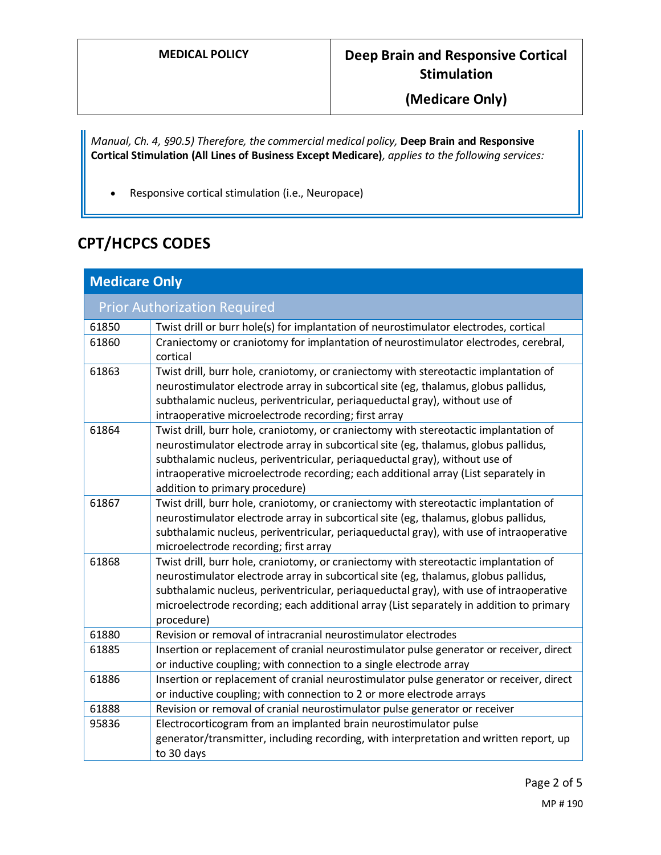**(Medicare Only)**

*Manual, Ch. 4, §90.5) Therefore, the commercial medical policy,* **Deep Brain and Responsive Cortical Stimulation (All Lines of Business Except Medicare)***, applies to the following services:* 

• Responsive cortical stimulation (i.e., Neuropace)

# **CPT/HCPCS CODES**

| <b>Medicare Only</b>                |                                                                                                                                                                                                                                                                                                                                                                                   |  |
|-------------------------------------|-----------------------------------------------------------------------------------------------------------------------------------------------------------------------------------------------------------------------------------------------------------------------------------------------------------------------------------------------------------------------------------|--|
| <b>Prior Authorization Required</b> |                                                                                                                                                                                                                                                                                                                                                                                   |  |
| 61850                               | Twist drill or burr hole(s) for implantation of neurostimulator electrodes, cortical                                                                                                                                                                                                                                                                                              |  |
| 61860                               | Craniectomy or craniotomy for implantation of neurostimulator electrodes, cerebral,<br>cortical                                                                                                                                                                                                                                                                                   |  |
| 61863                               | Twist drill, burr hole, craniotomy, or craniectomy with stereotactic implantation of<br>neurostimulator electrode array in subcortical site (eg, thalamus, globus pallidus,<br>subthalamic nucleus, periventricular, periaqueductal gray), without use of<br>intraoperative microelectrode recording; first array                                                                 |  |
| 61864                               | Twist drill, burr hole, craniotomy, or craniectomy with stereotactic implantation of<br>neurostimulator electrode array in subcortical site (eg, thalamus, globus pallidus,<br>subthalamic nucleus, periventricular, periaqueductal gray), without use of<br>intraoperative microelectrode recording; each additional array (List separately in<br>addition to primary procedure) |  |
| 61867                               | Twist drill, burr hole, craniotomy, or craniectomy with stereotactic implantation of<br>neurostimulator electrode array in subcortical site (eg, thalamus, globus pallidus,<br>subthalamic nucleus, periventricular, periaqueductal gray), with use of intraoperative<br>microelectrode recording; first array                                                                    |  |
| 61868                               | Twist drill, burr hole, craniotomy, or craniectomy with stereotactic implantation of<br>neurostimulator electrode array in subcortical site (eg, thalamus, globus pallidus,<br>subthalamic nucleus, periventricular, periaqueductal gray), with use of intraoperative<br>microelectrode recording; each additional array (List separately in addition to primary<br>procedure)    |  |
| 61880                               | Revision or removal of intracranial neurostimulator electrodes                                                                                                                                                                                                                                                                                                                    |  |
| 61885                               | Insertion or replacement of cranial neurostimulator pulse generator or receiver, direct<br>or inductive coupling; with connection to a single electrode array                                                                                                                                                                                                                     |  |
| 61886                               | Insertion or replacement of cranial neurostimulator pulse generator or receiver, direct<br>or inductive coupling; with connection to 2 or more electrode arrays                                                                                                                                                                                                                   |  |
| 61888                               | Revision or removal of cranial neurostimulator pulse generator or receiver                                                                                                                                                                                                                                                                                                        |  |
| 95836                               | Electrocorticogram from an implanted brain neurostimulator pulse<br>generator/transmitter, including recording, with interpretation and written report, up<br>to 30 days                                                                                                                                                                                                          |  |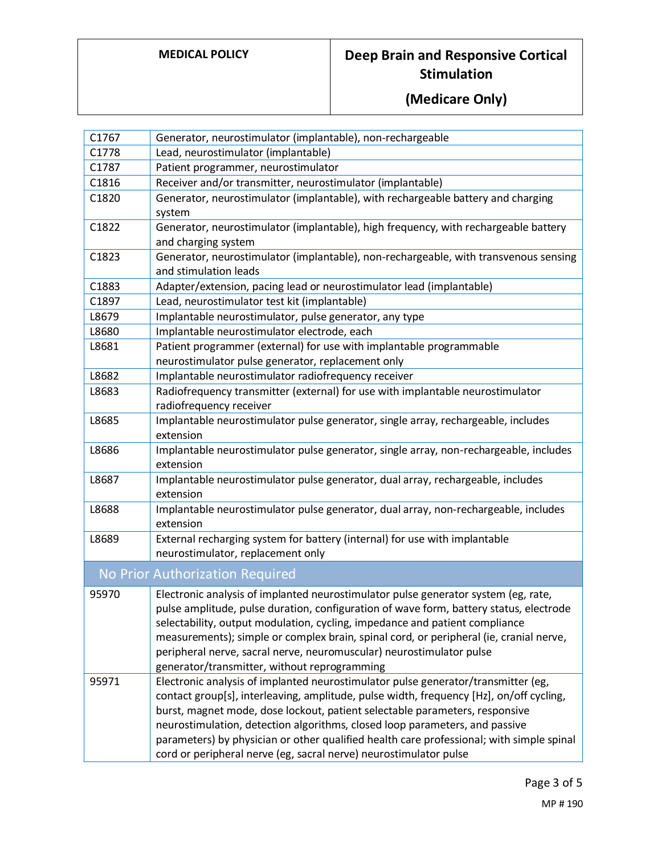# **MEDICAL POLICY Deep Brain and Responsive Cortical Stimulation**

# **(Medicare Only)**

| C1767                           | Generator, neurostimulator (implantable), non-rechargeable                                                                                                                                                                                                                                                                                                                                                                                                                    |  |
|---------------------------------|-------------------------------------------------------------------------------------------------------------------------------------------------------------------------------------------------------------------------------------------------------------------------------------------------------------------------------------------------------------------------------------------------------------------------------------------------------------------------------|--|
| C1778                           | Lead, neurostimulator (implantable)                                                                                                                                                                                                                                                                                                                                                                                                                                           |  |
| C1787                           | Patient programmer, neurostimulator                                                                                                                                                                                                                                                                                                                                                                                                                                           |  |
| C1816                           | Receiver and/or transmitter, neurostimulator (implantable)                                                                                                                                                                                                                                                                                                                                                                                                                    |  |
| C1820                           | Generator, neurostimulator (implantable), with rechargeable battery and charging                                                                                                                                                                                                                                                                                                                                                                                              |  |
|                                 | system                                                                                                                                                                                                                                                                                                                                                                                                                                                                        |  |
| C1822                           | Generator, neurostimulator (implantable), high frequency, with rechargeable battery                                                                                                                                                                                                                                                                                                                                                                                           |  |
|                                 | and charging system                                                                                                                                                                                                                                                                                                                                                                                                                                                           |  |
| C1823                           | Generator, neurostimulator (implantable), non-rechargeable, with transvenous sensing                                                                                                                                                                                                                                                                                                                                                                                          |  |
|                                 | and stimulation leads                                                                                                                                                                                                                                                                                                                                                                                                                                                         |  |
| C1883                           | Adapter/extension, pacing lead or neurostimulator lead (implantable)                                                                                                                                                                                                                                                                                                                                                                                                          |  |
| C1897                           | Lead, neurostimulator test kit (implantable)                                                                                                                                                                                                                                                                                                                                                                                                                                  |  |
| L8679                           | Implantable neurostimulator, pulse generator, any type                                                                                                                                                                                                                                                                                                                                                                                                                        |  |
| L8680                           | Implantable neurostimulator electrode, each                                                                                                                                                                                                                                                                                                                                                                                                                                   |  |
| L8681                           | Patient programmer (external) for use with implantable programmable                                                                                                                                                                                                                                                                                                                                                                                                           |  |
|                                 | neurostimulator pulse generator, replacement only                                                                                                                                                                                                                                                                                                                                                                                                                             |  |
| L8682                           | Implantable neurostimulator radiofrequency receiver                                                                                                                                                                                                                                                                                                                                                                                                                           |  |
| L8683                           | Radiofrequency transmitter (external) for use with implantable neurostimulator                                                                                                                                                                                                                                                                                                                                                                                                |  |
|                                 | radiofrequency receiver                                                                                                                                                                                                                                                                                                                                                                                                                                                       |  |
| L8685                           | Implantable neurostimulator pulse generator, single array, rechargeable, includes                                                                                                                                                                                                                                                                                                                                                                                             |  |
|                                 | extension                                                                                                                                                                                                                                                                                                                                                                                                                                                                     |  |
| L8686                           | Implantable neurostimulator pulse generator, single array, non-rechargeable, includes<br>extension                                                                                                                                                                                                                                                                                                                                                                            |  |
| L8687                           | Implantable neurostimulator pulse generator, dual array, rechargeable, includes<br>extension                                                                                                                                                                                                                                                                                                                                                                                  |  |
| L8688                           | Implantable neurostimulator pulse generator, dual array, non-rechargeable, includes<br>extension                                                                                                                                                                                                                                                                                                                                                                              |  |
| L8689                           | External recharging system for battery (internal) for use with implantable                                                                                                                                                                                                                                                                                                                                                                                                    |  |
|                                 | neurostimulator, replacement only                                                                                                                                                                                                                                                                                                                                                                                                                                             |  |
| No Prior Authorization Required |                                                                                                                                                                                                                                                                                                                                                                                                                                                                               |  |
| 95970                           | Electronic analysis of implanted neurostimulator pulse generator system (eg, rate,<br>pulse amplitude, pulse duration, configuration of wave form, battery status, electrode<br>selectability, output modulation, cycling, impedance and patient compliance<br>measurements); simple or complex brain, spinal cord, or peripheral (ie, cranial nerve,<br>peripheral nerve, sacral nerve, neuromuscular) neurostimulator pulse<br>generator/transmitter, without reprogramming |  |
| 95971                           | Electronic analysis of implanted neurostimulator pulse generator/transmitter (eg,                                                                                                                                                                                                                                                                                                                                                                                             |  |
|                                 | contact group[s], interleaving, amplitude, pulse width, frequency [Hz], on/off cycling,                                                                                                                                                                                                                                                                                                                                                                                       |  |
|                                 | burst, magnet mode, dose lockout, patient selectable parameters, responsive                                                                                                                                                                                                                                                                                                                                                                                                   |  |
|                                 | neurostimulation, detection algorithms, closed loop parameters, and passive                                                                                                                                                                                                                                                                                                                                                                                                   |  |
|                                 | parameters) by physician or other qualified health care professional; with simple spinal                                                                                                                                                                                                                                                                                                                                                                                      |  |
|                                 | cord or peripheral nerve (eg, sacral nerve) neurostimulator pulse                                                                                                                                                                                                                                                                                                                                                                                                             |  |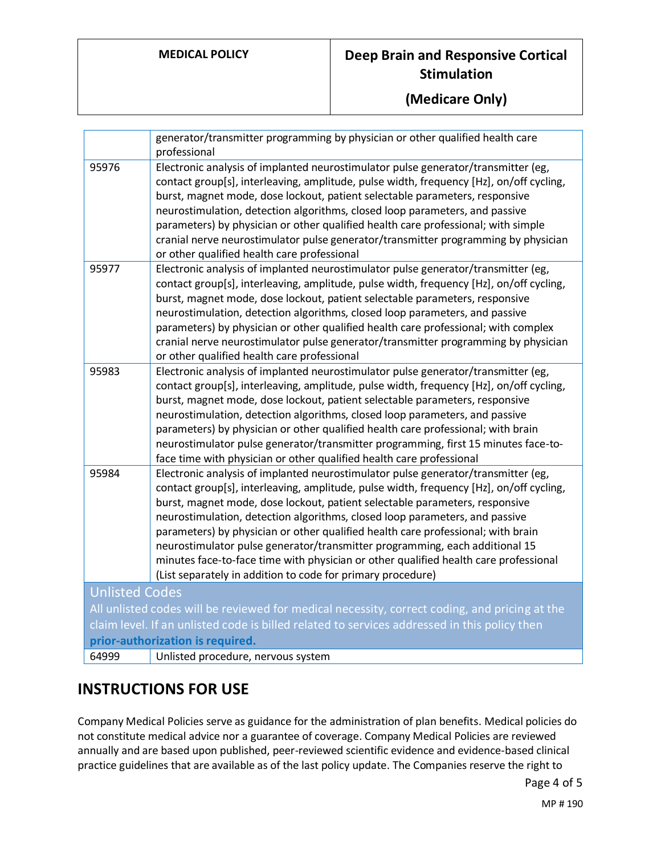## **MEDICAL POLICY Deep Brain and Responsive Cortical Stimulation**

## **(Medicare Only)**

|                                                                                               | generator/transmitter programming by physician or other qualified health care<br>professional                                                                                                                                                                                                                                                                                                                                                                                                                                                                                                                                                                        |  |
|-----------------------------------------------------------------------------------------------|----------------------------------------------------------------------------------------------------------------------------------------------------------------------------------------------------------------------------------------------------------------------------------------------------------------------------------------------------------------------------------------------------------------------------------------------------------------------------------------------------------------------------------------------------------------------------------------------------------------------------------------------------------------------|--|
| 95976                                                                                         | Electronic analysis of implanted neurostimulator pulse generator/transmitter (eg,<br>contact group[s], interleaving, amplitude, pulse width, frequency [Hz], on/off cycling,<br>burst, magnet mode, dose lockout, patient selectable parameters, responsive<br>neurostimulation, detection algorithms, closed loop parameters, and passive<br>parameters) by physician or other qualified health care professional; with simple<br>cranial nerve neurostimulator pulse generator/transmitter programming by physician<br>or other qualified health care professional                                                                                                 |  |
| 95977                                                                                         | Electronic analysis of implanted neurostimulator pulse generator/transmitter (eg,<br>contact group[s], interleaving, amplitude, pulse width, frequency [Hz], on/off cycling,<br>burst, magnet mode, dose lockout, patient selectable parameters, responsive<br>neurostimulation, detection algorithms, closed loop parameters, and passive<br>parameters) by physician or other qualified health care professional; with complex<br>cranial nerve neurostimulator pulse generator/transmitter programming by physician<br>or other qualified health care professional                                                                                                |  |
| 95983                                                                                         | Electronic analysis of implanted neurostimulator pulse generator/transmitter (eg,<br>contact group[s], interleaving, amplitude, pulse width, frequency [Hz], on/off cycling,<br>burst, magnet mode, dose lockout, patient selectable parameters, responsive<br>neurostimulation, detection algorithms, closed loop parameters, and passive<br>parameters) by physician or other qualified health care professional; with brain<br>neurostimulator pulse generator/transmitter programming, first 15 minutes face-to-<br>face time with physician or other qualified health care professional                                                                         |  |
| 95984                                                                                         | Electronic analysis of implanted neurostimulator pulse generator/transmitter (eg,<br>contact group[s], interleaving, amplitude, pulse width, frequency [Hz], on/off cycling,<br>burst, magnet mode, dose lockout, patient selectable parameters, responsive<br>neurostimulation, detection algorithms, closed loop parameters, and passive<br>parameters) by physician or other qualified health care professional; with brain<br>neurostimulator pulse generator/transmitter programming, each additional 15<br>minutes face-to-face time with physician or other qualified health care professional<br>(List separately in addition to code for primary procedure) |  |
| <b>Unlisted Codes</b>                                                                         |                                                                                                                                                                                                                                                                                                                                                                                                                                                                                                                                                                                                                                                                      |  |
| All unlisted codes will be reviewed for medical necessity, correct coding, and pricing at the |                                                                                                                                                                                                                                                                                                                                                                                                                                                                                                                                                                                                                                                                      |  |
| claim level. If an unlisted code is billed related to services addressed in this policy then  |                                                                                                                                                                                                                                                                                                                                                                                                                                                                                                                                                                                                                                                                      |  |
| prior-authorization is required.                                                              |                                                                                                                                                                                                                                                                                                                                                                                                                                                                                                                                                                                                                                                                      |  |
| 64999                                                                                         | Unlisted procedure, nervous system                                                                                                                                                                                                                                                                                                                                                                                                                                                                                                                                                                                                                                   |  |

## **INSTRUCTIONS FOR USE**

Company Medical Policies serve as guidance for the administration of plan benefits. Medical policies do not constitute medical advice nor a guarantee of coverage. Company Medical Policies are reviewed annually and are based upon published, peer-reviewed scientific evidence and evidence-based clinical practice guidelines that are available as of the last policy update. The Companies reserve the right to